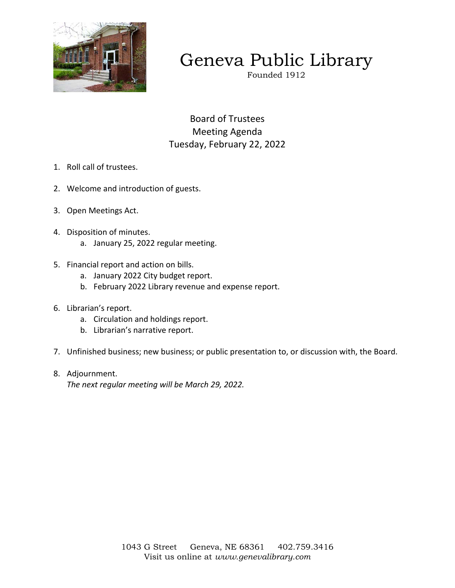

# Geneva Public Library

Founded 1912

Board of Trustees Meeting Agenda Tuesday, February 22, 2022

- 1. Roll call of trustees.
- 2. Welcome and introduction of guests.
- 3. Open Meetings Act.
- 4. Disposition of minutes.
	- a. January 25, 2022 regular meeting.
- 5. Financial report and action on bills.
	- a. January 2022 City budget report.
	- b. February 2022 Library revenue and expense report.
- 6. Librarian's report.
	- a. Circulation and holdings report.
	- b. Librarian's narrative report.
- 7. Unfinished business; new business; or public presentation to, or discussion with, the Board.
- 8. Adjournment.

*The next regular meeting will be March 29, 2022.*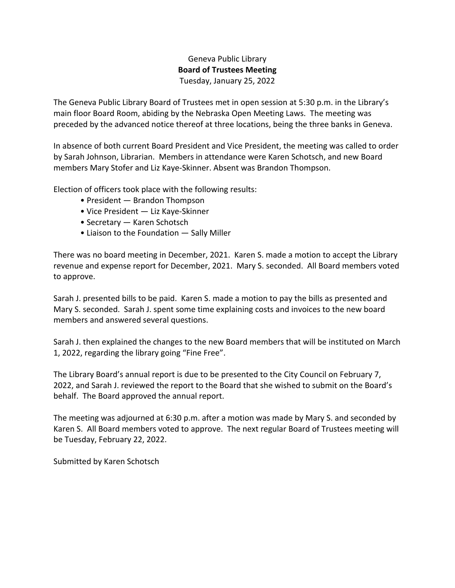## Geneva Public Library **Board of Trustees Meeting**  Tuesday, January 25, 2022

The Geneva Public Library Board of Trustees met in open session at 5:30 p.m. in the Library's main floor Board Room, abiding by the Nebraska Open Meeting Laws. The meeting was preceded by the advanced notice thereof at three locations, being the three banks in Geneva.

In absence of both current Board President and Vice President, the meeting was called to order by Sarah Johnson, Librarian. Members in attendance were Karen Schotsch, and new Board members Mary Stofer and Liz Kaye-Skinner. Absent was Brandon Thompson.

Election of officers took place with the following results:

- President Brandon Thompson
- Vice President Liz Kaye-Skinner
- Secretary Karen Schotsch
- Liaison to the Foundation Sally Miller

There was no board meeting in December, 2021. Karen S. made a motion to accept the Library revenue and expense report for December, 2021. Mary S. seconded. All Board members voted to approve.

Sarah J. presented bills to be paid. Karen S. made a motion to pay the bills as presented and Mary S. seconded. Sarah J. spent some time explaining costs and invoices to the new board members and answered several questions.

Sarah J. then explained the changes to the new Board members that will be instituted on March 1, 2022, regarding the library going "Fine Free".

The Library Board's annual report is due to be presented to the City Council on February 7, 2022, and Sarah J. reviewed the report to the Board that she wished to submit on the Board's behalf. The Board approved the annual report.

The meeting was adjourned at 6:30 p.m. after a motion was made by Mary S. and seconded by Karen S. All Board members voted to approve. The next regular Board of Trustees meeting will be Tuesday, February 22, 2022.

Submitted by Karen Schotsch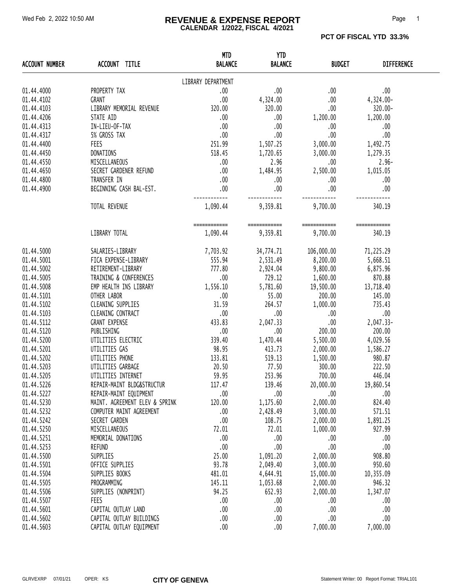#### Wed Feb 2, 2022 10:50 AM **REVENUE & EXPENSE REPORT** Page 1 **CALENDAR 1/2022, FISCAL 4/2021**

**PCT OF FISCAL YTD 33.3%** 

| <b>ACCOUNT NUMBER</b> | ACCOUNT TITLE                  | <b>MTD</b><br><b>BALANCE</b> | <b>YTD</b><br><b>BALANCE</b> | <b>BUDGET</b>            | <b>DIFFERENCE</b>      |  |
|-----------------------|--------------------------------|------------------------------|------------------------------|--------------------------|------------------------|--|
|                       |                                | LIBRARY DEPARTMENT           |                              |                          |                        |  |
| 01.44.4000            | PROPERTY TAX                   | .00                          | .00.                         | .00.                     | .00                    |  |
| 01.44.4102            | <b>GRANT</b>                   | .00                          | 4,324.00                     | .00.                     | 4,324.00-              |  |
| 01.44.4103            | LIBRARY MEMORIAL REVENUE       | 320.00                       | 320.00                       | .00.                     | 320.00-                |  |
| 01.44.4206            | STATE AID                      | .00                          | .00.                         | 1,200.00                 | 1,200.00               |  |
| 01.44.4313            | IN-LIEU-OF-TAX                 | .00                          | $.00 \,$                     | .00.                     | .00                    |  |
| 01.44.4317            | 5% GROSS TAX                   | .00                          | .00.                         | .00.                     | .00                    |  |
| 01.44.4400            | FEES                           | 251.99                       | 1,507.25                     | 3,000.00                 |                        |  |
|                       | DONATIONS                      |                              | 1,720.65                     |                          | 1,492.75               |  |
| 01.44.4450            |                                | 518.45                       |                              | 3,000.00                 | 1,279.35               |  |
| 01.44.4550            | MISCELLANEOUS                  | .00                          | 2.96                         | .00.                     | $2.96 -$               |  |
| 01.44.4650            | SECRET GARDENER REFUND         | $\sim$ 00                    | 1,484.95                     | 2,500.00                 | 1,015.05               |  |
| 01.44.4800            | TRANSFER IN                    | .00                          | .00                          | .00.                     | .00                    |  |
| 01.44.4900            | BEGINNING CASH BAL-EST.        | .00.                         | .00.                         | .00                      | .00                    |  |
|                       | TOTAL REVENUE                  | 1,090.44                     | 9,359.81                     | 9,700.00                 | 340.19                 |  |
|                       | LIBRARY TOTAL                  | ============<br>1,090.44     | ============<br>9,359.81     | ============<br>9,700.00 | ============<br>340.19 |  |
|                       |                                |                              |                              |                          |                        |  |
| 01.44.5000            | SALARIES-LIBRARY               | 7,703.92                     | 34,774.71                    | 106,000.00               | 71,225.29              |  |
| 01.44.5001            | FICA EXPENSE-LIBRARY           | 555.94                       | 2,531.49                     | 8,200.00                 | 5,668.51               |  |
| 01.44.5002            | RETIREMENT-LIBRARY             | 777.80                       | 2,924.04                     | 9,800.00                 | 6,875.96               |  |
| 01.44.5005            | TRAINING & CONFERENCES         | .00.                         | 729.12                       | 1,600.00                 | 870.88                 |  |
| 01.44.5008            | EMP HEALTH INS LIBRARY         | 1,556.10                     | 5,781.60                     | 19,500.00                | 13,718.40              |  |
| 01.44.5101            | OTHER LABOR                    | .00                          | 55.00                        | 200.00                   | 145.00                 |  |
| 01.44.5102            | CLEANING SUPPLIES              | 31.59                        | 264.57                       | 1,000.00                 | 735.43                 |  |
| 01.44.5103            | CLEANING CONTRACT              | .00                          | .00.                         | .00.                     | .00                    |  |
| 01.44.5112            | <b>GRANT EXPENSE</b>           | 433.83                       | 2,047.33                     | 00.                      | 2,047.33-              |  |
| 01.44.5120            | PUBLISHING                     | .00                          | .00.                         | 200.00                   | 200.00                 |  |
| 01.44.5200            | UTILITIES ELECTRIC             | 339.40                       | 1,470.44                     | 5,500.00                 | 4,029.56               |  |
| 01.44.5201            | UTILITIES GAS                  | 98.95                        | 413.73                       | 2,000.00                 | 1,586.27               |  |
| 01.44.5202            | UTILITIES PHONE                | 133.81                       | 519.13                       | 1,500.00                 | 980.87                 |  |
| 01.44.5203            | UTILITIES GARBAGE              | 20.50                        | 77.50                        | 300.00                   | 222.50                 |  |
| 01.44.5205            | UTILITIES INTERNET             | 59.95                        | 253.96                       | 700.00                   | 446.04                 |  |
| 01.44.5226            | REPAIR-MAINT BLDG&STRUCTUR     | 117.47                       | 139.46                       | 20,000.00                | 19,860.54              |  |
| 01.44.5227            | REPAIR-MAINT EQUIPMENT         | .00                          | .00.                         | .00.                     | .00.                   |  |
| 01.44.5230            | MAINT. AGREEMENT ELEV & SPRINK | 120.00                       | 1,175.60                     | 2,000.00                 | 824.40                 |  |
| 01.44.5232            | COMPUTER MAINT AGREEMENT       | .00                          | 2,428.49                     | 3,000.00                 | 571.51                 |  |
| 01.44.5242            | SECRET GARDEN                  | .00                          | 108.75                       | 2,000.00                 | 1,891.25               |  |
| 01.44.5250            | MISCELLANEOUS                  | 72.01                        | 72.01                        | 1,000.00                 | 927.99                 |  |
| 01.44.5251            | MEMORIAL DONATIONS             | .00                          | .00.                         | .00.                     | .00                    |  |
| 01.44.5253            | <b>REFUND</b>                  | .00                          | $.00$                        | $.00$                    | .00                    |  |
| 01.44.5500            | SUPPLIES                       | 25.00                        | 1,091.20                     | 2,000.00                 | 908.80                 |  |
| 01.44.5501            | OFFICE SUPPLIES                | 93.78                        | 2,049.40                     | 3,000.00                 | 950.60                 |  |
| 01.44.5504            | SUPPLIES BOOKS                 | 481.01                       | 4,644.91                     | 15,000.00                | 10,355.09              |  |
| 01.44.5505            | PROGRAMMING                    | 145.11                       | 1,053.68                     | 2,000.00                 | 946.32                 |  |
| 01.44.5506            | SUPPLIES (NONPRINT)            | 94.25                        | 652.93                       | 2,000.00                 | 1,347.07               |  |
| 01.44.5507            | FEES                           | .00                          | .00.                         | .00.                     | .00.                   |  |
| 01.44.5601            | CAPITAL OUTLAY LAND            | .00                          | $.00$                        | .00                      | .00                    |  |
| 01.44.5602            | CAPITAL OUTLAY BUILDINGS       | .00                          | .00                          | .00                      | .00                    |  |
| 01.44.5603            | CAPITAL OUTLAY EQUIPMENT       | .00                          | .00.                         | 7,000.00                 | 7,000.00               |  |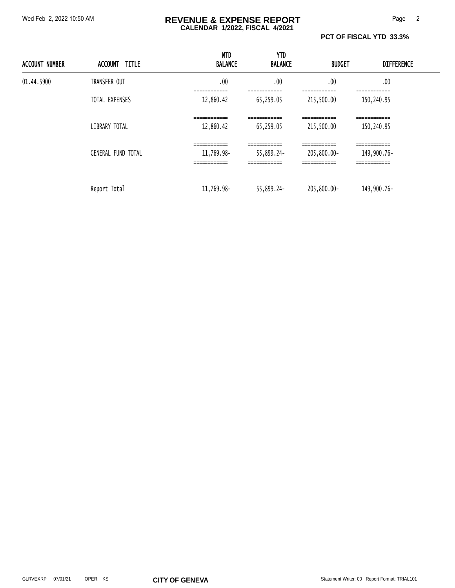#### Wed Feb 2, 2022 10:50 AM **REVENUE & EXPENSE REPORT** Page 2 **CALENDAR 1/2022, FISCAL 4/2021**

**PCT OF FISCAL YTD 33.3%** 

| <b>ACCOUNT NUMBER</b> | ACCOUNT TITLE             | <b>MTD</b><br><b>BALANCE</b>                              | YTD<br><b>BALANCE</b>                                      | <b>BUDGET</b>                                              | <b>DIFFERENCE</b>                                            |  |
|-----------------------|---------------------------|-----------------------------------------------------------|------------------------------------------------------------|------------------------------------------------------------|--------------------------------------------------------------|--|
| 01.44.5900            | TRANSFER OUT              | .00                                                       | .00                                                        | .00                                                        | .00                                                          |  |
|                       | TOTAL EXPENSES            | 12,860.42                                                 | 65,259.05                                                  | 215,500.00                                                 | 150,240.95                                                   |  |
|                       | LIBRARY TOTAL             | ============<br>12,860.42                                 | ============<br>65,259.05                                  | ============<br>215,500.00                                 | ============<br>150,240.95                                   |  |
|                       | <b>GENERAL FUND TOTAL</b> | ============<br>11,769.98-<br>------------<br>___________ | =============<br>55,899.24-<br>------------<br>___________ | ------------<br>205,800.00-<br>------------<br>___________ | -------------<br>149,900.76-<br>-------------<br>___________ |  |
|                       | Report Total              | 11,769.98-                                                | 55,899.24-                                                 | 205,800.00-                                                | 149,900.76-                                                  |  |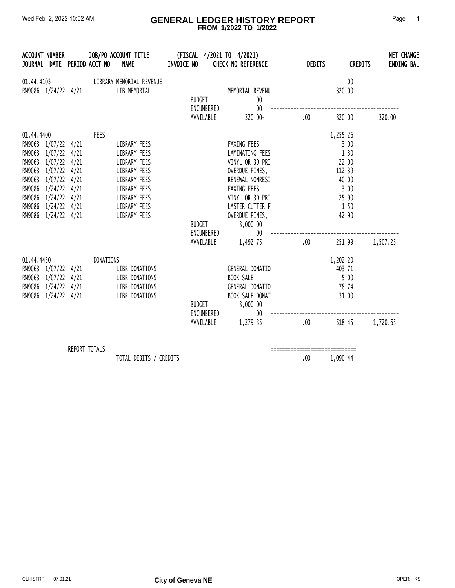#### Wed Feb 2, 2022 10:52 AM **GENERAL LEDGER HISTORY REPORT** Page 1  **FROM 1/2022 TO 1/2022**

| ACCOUNT NUMBER<br>JOURNAL DATE PERIOD ACCT NO                                                                                                                                                                             |               |           | JOB/PO ACCOUNT TITLE<br><b>NAME</b>                                                                                                          | INVOICE NO    |                                          | (FISCAL 4/2021 TO 4/2021)<br><b>CHECK NO REFERENCE</b>                                                                                                                                           | <b>DEBITS</b> | <b>CREDITS</b>                                                                                   | <b>NET CHANGE</b><br><b>ENDING BAL</b> |
|---------------------------------------------------------------------------------------------------------------------------------------------------------------------------------------------------------------------------|---------------|-----------|----------------------------------------------------------------------------------------------------------------------------------------------|---------------|------------------------------------------|--------------------------------------------------------------------------------------------------------------------------------------------------------------------------------------------------|---------------|--------------------------------------------------------------------------------------------------|----------------------------------------|
| RM9086 1/24/22 4/21                                                                                                                                                                                                       |               |           | 01.44.4103 LIBRARY MEMORIAL REVENUE<br>LIB MEMORIAL                                                                                          |               | BUDGET<br>ENCUMBERED                     | MEMORIAL REVENU<br>.00.<br>.00.                                                                                                                                                                  |               | .00<br>320.00                                                                                    |                                        |
|                                                                                                                                                                                                                           |               |           |                                                                                                                                              |               |                                          | AVAILABLE 320.00-                                                                                                                                                                                | .00           | 320.00                                                                                           | 320.00                                 |
| 01.44.4400<br>RM9063 1/07/22 4/21<br>RM9063 1/07/22 4/21<br>RM9063 1/07/22 4/21<br>RM9063 1/07/22 4/21<br>RM9063 1/07/22 4/21<br>RM9086 1/24/22 4/21<br>RM9086 1/24/22 4/21<br>RM9086 1/24/22 4/21<br>RM9086 1/24/22 4/21 |               | FEES      | LIBRARY FEES<br>LIBRARY FEES<br>LIBRARY FEES<br>LIBRARY FEES<br>LIBRARY FEES<br>LIBRARY FEES<br>LIBRARY FEES<br>LIBRARY FEES<br>LIBRARY FEES |               | <b>BUDGET</b><br>ENCUMBERED<br>AVAILABLE | FAXING FEES<br>LAMINATING FEES<br>VINYL OR 3D PRI<br>OVERDUE FINES,<br>RENEWAL NONRESI<br>FAXING FEES<br>VINYL OR 3D PRI<br>LASTER CUTTER F<br>OVERDUE FINES,<br>3,000.00<br>$.00\,$<br>1,492.75 | .00           | 1,255.26<br>3.00<br>1.30<br>22.00<br>112.39<br>40.00<br>3.00<br>25.90<br>1.50<br>42.90<br>251.99 | 1,507.25                               |
| 01.44.4450<br>RM9063 1/07/22 4/21<br>RM9063 1/07/22 4/21<br>RM9086 1/24/22 4/21<br>RM9086 1/24/22 4/21                                                                                                                    |               | DONATIONS | LIBR DONATIONS<br>LIBR DONATIONS<br>LIBR DONATIONS<br>LIBR DONATIONS                                                                         | <b>BUDGET</b> |                                          | GENERAL DONATIO<br>BOOK SALE<br>GENERAL DONATIO<br>BOOK SALE DONAT<br>3,000.00<br>ENCUMBERED<br>.00<br>AVAILABLE 1,279.35                                                                        | .00           | 1,202.20<br>403.71<br>5.00<br>78.74<br>31.00<br>518.45                                           | 1,720.65                               |
|                                                                                                                                                                                                                           | REPORT TOTALS |           | TOTAL DEBITS / CREDITS                                                                                                                       |               |                                          |                                                                                                                                                                                                  | .00           | 1,090.44                                                                                         |                                        |

 $\overline{\phantom{a}}$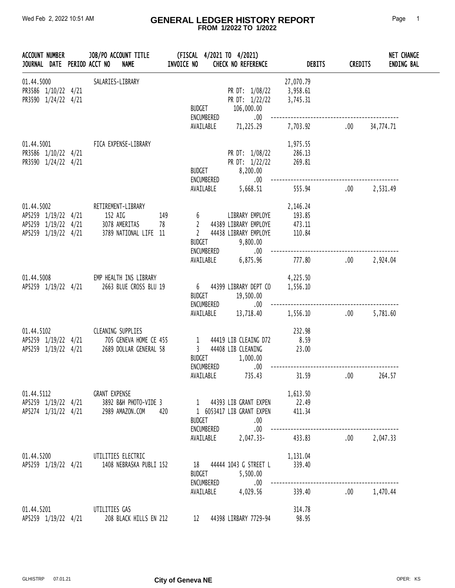#### Wed Feb 2, 2022 10:51 AM **GENERAL LEDGER HISTORY REPORT** Page 1  **FROM 1/2022 TO 1/2022**

| ACCOUNT NUMBER                                                                  |  | JOB/PO ACCOUNT TITLE<br><b>NAME</b><br>JOURNAL DATE PERIOD ACCT NO                                               | INVOICE NO |                                                                 | (FISCAL 4/2021 TO 4/2021)<br><b>CHECK NO REFERENCE</b>                                | <b>DEBITS</b>                                    | <b>CREDITS</b> | <b>NET CHANGE</b><br><b>ENDING BAL</b> |
|---------------------------------------------------------------------------------|--|------------------------------------------------------------------------------------------------------------------|------------|-----------------------------------------------------------------|---------------------------------------------------------------------------------------|--------------------------------------------------|----------------|----------------------------------------|
| 01.44.5000<br>PR3586 1/10/22 4/21<br>PR3590 1/24/22 4/21                        |  | SALARIES-LIBRARY                                                                                                 |            | <b>BUDGET</b><br>ENCUMBERED                                     | PR DT: 1/08/22<br>PR DT: 1/22/22<br>106,000.00<br>.00.                                | 27,070.79<br>3,958.61<br>3,745.31                |                |                                        |
|                                                                                 |  |                                                                                                                  |            |                                                                 | AVAILABLE 71,225.29                                                                   | 7,703.92                                         | $.00\,$        | 34,774.71                              |
| PR3586 1/10/22 4/21<br>PR3590 1/24/22 4/21                                      |  | 01.44.5001 FICA EXPENSE-LIBRARY                                                                                  |            | <b>BUDGET</b><br>ENCUMBERED                                     | PR DT: 1/08/22<br>PR DT: 1/22/22<br>8,200.00<br>$.00\,$                               | 1,975.55<br>286.13<br>269.81                     |                |                                        |
|                                                                                 |  |                                                                                                                  |            |                                                                 | 5,668.51                                                                              | 555.94                                           | $.00 \,$       | 2,531.49                               |
| 01.44.5002<br>AP5259 1/19/22 4/21<br>AP5259 1/19/22 4/21<br>AP5259 1/19/22 4/21 |  | RETIREMENT-LIBRARY<br>152 AIG<br>3789 NATIONAL LIFE 11                                                           | 149        | $6\degree$<br>$\overline{2}$<br>$\overline{2}$<br><b>BUDGET</b> | LIBRARY EMPLOYE<br>44389 LIBRARY EMPLOYE<br>44438 LIBRARY EMPLOYE<br>9,800.00<br>.00. | 2,146.24<br>193.85<br>473.11<br>473.11<br>110.84 |                |                                        |
|                                                                                 |  |                                                                                                                  |            |                                                                 | 6,875.96                                                                              | 777.80                                           | .00            | 2,924.04                               |
|                                                                                 |  | 01.44.5008 EMP HEALTH INS LIBRARY<br>AP5259 1/19/22 4/21 2663 BLUE CROSS BLU 19                                  |            | <b>BUDGET</b>                                                   | 6 44399 LIBRARY DEPT CO<br>19,500.00                                                  | 4,225.50<br>1,556.10                             |                |                                        |
|                                                                                 |  |                                                                                                                  |            | ENCUMBERED<br>AVAILABLE                                         | .00.<br>13,718.40                                                                     | 1,556.10                                         | $.00 \,$       | 5,781.60                               |
| AP5259 1/19/22 4/21<br>AP5259 1/19/22 4/21                                      |  | 01.44.5102 CLEANING SUPPLIES<br>705 GENEVA HOME CE 455<br>2689 DOLLAR GENERAL 58                                 |            | <b>BUDGET</b><br>ENCUMBERED                                     | 1 44419 LIB CLEAING D72<br>3 44408 LIB CLEANING<br>1,000.00<br>.00.                   | 232.98<br>8.59<br>23.00                          |                |                                        |
|                                                                                 |  |                                                                                                                  |            | AVAILABLE                                                       | 735.43                                                                                | 31.59                                            | .00            | 264.57                                 |
| 01.44.5112                                                                      |  | GRANT EXPENSE<br>AP5259  1/19/22  4/21  3892  B&H  PHOTO-VIDE  3<br>AP5274  1/31/22  4/21  2989  AMAZON.COM  420 |            | <b>BUDGET</b><br>ENCUMBERED                                     | 1 44393 LIB GRANT EXPEN<br>1 6053417 LIB GRANT EXPEN<br>.00<br>.00                    | 1,613.50<br>22.49<br>411.34                      |                |                                        |
|                                                                                 |  |                                                                                                                  |            |                                                                 | AVAILABLE 2,047.33-                                                                   | 433.83                                           |                | .00 2.047.33                           |
| 01.44.5200                                                                      |  | UTILITIES ELECTRIC<br>AP5259 1/19/22 4/21 1408 NEBRASKA PUBLI 152                                                |            | <b>BUDGET</b><br>ENCUMBERED                                     | 18 44444 1043 G STREET L<br>5,500.00<br>.00.                                          | 1,131.04<br>339.40                               |                |                                        |
|                                                                                 |  |                                                                                                                  |            | AVAILABLE                                                       | 4,029.56                                                                              | 339.40                                           |                | .00 1,470.44                           |
| 01.44.5201<br>AP5259 1/19/22 4/21                                               |  | UTILITIES GAS<br>208 BLACK HILLS EN 212                                                                          |            | 12                                                              | 44398 LIRBARY 7729-94                                                                 | 314.78<br>98.95                                  |                |                                        |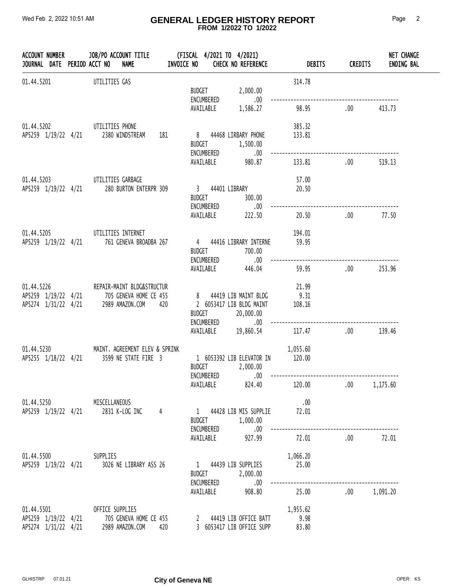#### Wed Feb 2, 2022 10:51 AM **GENERAL LEDGER HISTORY REPORT** Page 2  **FROM 1/2022 TO 1/2022**

|            |  | ACCOUNT NUMBER             JOB/PO ACCOUNT TITLE              (FISCAL   4/2021 TO   4/2021)<br>JOURNAL   DATE   PERIOD ACCT NO      NAME              INVOICE NO      CHECK NO REFERENCE                        DEBITS |                               |                                                                                          |                            | <b>CREDITS</b> | <b>NET CHANGE</b><br><b>ENDING BAL</b> |
|------------|--|-----------------------------------------------------------------------------------------------------------------------------------------------------------------------------------------------------------------------|-------------------------------|------------------------------------------------------------------------------------------|----------------------------|----------------|----------------------------------------|
| 01.44.5201 |  | UTILITIES GAS                                                                                                                                                                                                         |                               | BUDGET 2,000.00<br>ENCUMBERED .00                                                        | 314.78                     |                |                                        |
|            |  |                                                                                                                                                                                                                       |                               | AVAILABLE 1,586.27                                                                       | 98.95                      | .00.           | 413.73                                 |
|            |  | 01.44.5202 UTILITIES PHONE<br>AP5259 1/19/22 4/21 2380 WINDSTREAM 181                                                                                                                                                 |                               | 8 44468 LIRBARY PHONE<br>BUDGET 1,500.00                                                 | 385.32<br>133.81           |                |                                        |
|            |  |                                                                                                                                                                                                                       |                               | ENCUMBERED .00<br>AVAILABLE 980.87                                                       | 133.81                     | .00            | 519.13                                 |
|            |  | 01.44.5203 UTILITIES GARBAGE<br>AP5259 1/19/22 4/21 280 BURTON ENTERPR 309                                                                                                                                            |                               | 3 44401 LIBRARY<br>BUDGET 300.00<br>ENCUMBERED .00                                       | 57.00<br>20.50             |                |                                        |
|            |  |                                                                                                                                                                                                                       |                               | AVAILABLE 222.50                                                                         | 20.50                      | $\sim$ 00      | 77.50                                  |
|            |  | 01.44.5205 UTILITIES INTERNET<br>AP5259 1/19/22 4/21 761 GENEVA BROADBA 267                                                                                                                                           |                               | 4 44416 LIBRARY INTERNE 59.95<br>BUDGET 700.00                                           | 194.01                     |                |                                        |
|            |  |                                                                                                                                                                                                                       |                               | ENCUMBERED .00<br>AVAILABLE 446.04                                                       | 59.95                      | .00            | 253.96                                 |
|            |  | 01.44.5226 REPAIR-MAINT BLDG&STRUCTUR<br>AP5259 1/19/22 4/21 705 GENEVA HOME CE 455<br>AP5274 1/31/22 4/21 2989 AMAZON.COM 420                                                                                        |                               | 8 44419 LIB MAINT BLDG<br>2 6053417 LIB BLDG MAINT<br>BUDGET 20,000.00<br>ENCUMBERED .00 | 21.99<br>9.31<br>108.16    |                |                                        |
|            |  |                                                                                                                                                                                                                       |                               |                                                                                          | AVAILABLE 19,860.54 117.47 | .00            | 139.46                                 |
|            |  | 01.44.5230 MAINT. AGREEMENT ELEV & SPRINK<br>AP5255 1/18/22 4/21 3599 NE STATE FIRE 3                                                                                                                                 | BUDGET 2,000.00<br>ENCUMBERED | 1 6053392 LIB ELEVATOR IN 20.00<br>$.00\,$                                               | 1,055.60                   |                |                                        |
|            |  |                                                                                                                                                                                                                       |                               | AVAILABLE 824.40                                                                         | 120.00                     | .00 1,175.60   |                                        |
|            |  | 01.44.5250 MISCELLANEOUS<br>AP5259 1/19/22 4/21 2831 K-LOG INC 4                                                                                                                                                      | ENCUMBERED                    | 1 44428 LIB MIS SUPPLIE<br>BUDGET 1,000.00<br>$\sim$ 00                                  | .00<br>72.01               |                |                                        |
|            |  |                                                                                                                                                                                                                       |                               | AVAILABLE 927.99                                                                         | 72.01 .00                  |                | 72.01                                  |
|            |  | 01.44.5500 SUPPLIES<br>AP5259 1/19/22 4/21 3026 NE LIBRARY ASS 26                                                                                                                                                     |                               | 1 44439 LIB SUPPLIES<br>BUDGET 2,000.00<br>ENCUMBERED .00                                | 1,066.20<br>25.00          |                |                                        |
|            |  |                                                                                                                                                                                                                       |                               | AVAILABLE 908.80                                                                         |                            |                |                                        |
|            |  | 01.44.5501 OFFICE SUPPLIES<br>AP5259 1/19/22 4/21 705 GENEVA HOME CE 455 2 44419 LIB OFFICE BATT<br>AP5274 1/31/22 4/21 2989 AMAZON.COM 420 3 6053417 LIB OFFICE SUPP                                                 |                               | 3 6053417 LIB OFFICE SUPP 83.80                                                          | 1,955.62<br>9.98           |                |                                        |

 $\overline{\phantom{a}}$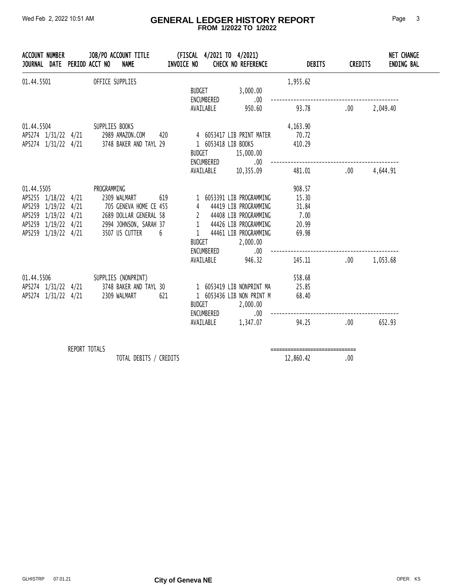#### Wed Feb 2, 2022 10:51 AM **GENERAL LEDGER HISTORY REPORT** Page 3  **FROM 1/2022 TO 1/2022**

| JOURNAL DATE PERIOD ACCT NO | ACCOUNT NUMBER JOB/PO ACCOUNT TITLE<br><b>NAME</b>                                                                                                                                                                                   | <b>INVOICE NO</b> |                             | (FISCAL 4/2021 TO 4/2021)<br><b>CHECK NO REFERENCE</b> | <b>DEBITS</b> | <b>CREDITS</b> | <b>NET CHANGE</b><br><b>ENDING BAL</b> |
|-----------------------------|--------------------------------------------------------------------------------------------------------------------------------------------------------------------------------------------------------------------------------------|-------------------|-----------------------------|--------------------------------------------------------|---------------|----------------|----------------------------------------|
|                             | 01.44.5501 OFFICE SUPPLIES                                                                                                                                                                                                           |                   | <b>BUDGET</b><br>ENCUMBERED | 3,000.00<br>.00                                        | 1,955.62      |                |                                        |
|                             |                                                                                                                                                                                                                                      |                   |                             | AVAILABLE 950.60                                       | 93.78 .00     |                | 2,049.40                               |
|                             | 01.44.5504 SUPPLIES BOOKS                                                                                                                                                                                                            |                   |                             |                                                        | 4,163.90      |                |                                        |
|                             | AP5274 1/31/22 4/21 2989 AMAZON.COM 420 4 6053417 LIB PRINT MATER                                                                                                                                                                    |                   |                             |                                                        | 70.72         |                |                                        |
|                             | AP5274 1/31/22 4/21 3748 BAKER AND TAYL 29 1 6053418 LIB BOOKS                                                                                                                                                                       |                   |                             | BUDGET 15,000.00                                       | 410.29        |                |                                        |
|                             |                                                                                                                                                                                                                                      |                   |                             | - COMBERED 10,355.09<br>AVAILABLE 10,355.09            | 481.01        | .00            | 4,644.91                               |
|                             | 01.44.5505 PROGRAMMING                                                                                                                                                                                                               |                   |                             |                                                        | 908.57        |                |                                        |
|                             | AP5255 1/18/22 4/21 2309 WALMART 619 1 6053391 LIB PROGRAMMING<br>AP5259 1/19/22 4/21 705 GENEVA HOME CE 455 4 44419 LIB PROGRAMMING<br>AP5259 1/19/22 4/21 2689 DOLLAR GENERAL 58 2 44408 LIB PROGRAMMING<br>AP5259 1/19/22 4/21 29 |                   |                             |                                                        | 15.30         |                |                                        |
|                             |                                                                                                                                                                                                                                      |                   |                             |                                                        | 31.84         |                |                                        |
|                             |                                                                                                                                                                                                                                      |                   |                             |                                                        | 7.00          |                |                                        |
|                             |                                                                                                                                                                                                                                      |                   |                             |                                                        | 20.99         |                |                                        |
| AP5259 1/19/22 4/21         | 3507 US CUTTER 6                                                                                                                                                                                                                     |                   |                             | 1 44461 LIB PROGRAMMING                                | 69.98         |                |                                        |
|                             |                                                                                                                                                                                                                                      |                   |                             | BUDGET 2,000.00<br>ENCUMBERED .00                      |               |                |                                        |
|                             |                                                                                                                                                                                                                                      |                   |                             | AVAILABLE 946.32                                       | 145.11        | .00.           | 1,053.68                               |
|                             | 01.44.5506 SUPPLIES (NONPRINT)                                                                                                                                                                                                       |                   |                             |                                                        | 558.68        |                |                                        |
|                             | AP5274 1/31/22 4/21 3748 BAKER AND TAYL 30 1 6053419 LIB NONPRINT MA                                                                                                                                                                 |                   |                             |                                                        | 25.85         |                |                                        |
|                             | AP5274 1/31/22 4/21 2309 WALMART                                                                                                                                                                                                     | 621               |                             | 1 6053436 LIB NON PRINT M                              | 68.40         |                |                                        |
|                             |                                                                                                                                                                                                                                      |                   | BUDGET                      | 2,000.00                                               |               |                |                                        |
|                             |                                                                                                                                                                                                                                      |                   |                             | ENCUMBERED .00 --------<br>AVAILABLE 1,347.07          | 94.25 .00     |                | 652.93                                 |
|                             | REPORT TOTALS                                                                                                                                                                                                                        |                   |                             |                                                        |               |                |                                        |
|                             |                                                                                                                                                                                                                                      |                   |                             |                                                        |               |                |                                        |

TOTAL DEBITS / CREDITS 22,860.42 .00

 $\overline{\phantom{a}}$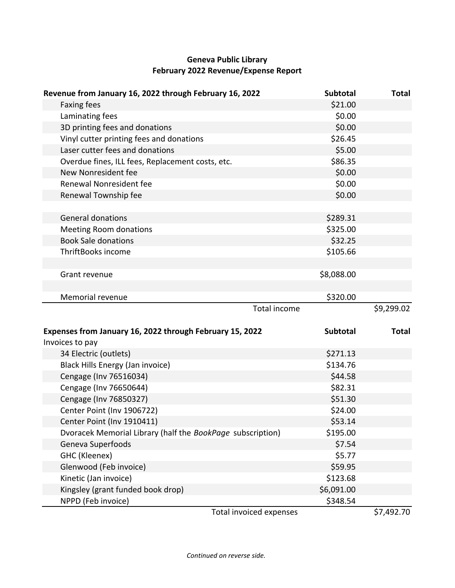# **Geneva Public Library February 2022 Revenue/Expense Report**

| Revenue from January 16, 2022 through February 16, 2022                     | <b>Subtotal</b> | <b>Total</b> |
|-----------------------------------------------------------------------------|-----------------|--------------|
| <b>Faxing fees</b>                                                          | \$21.00         |              |
| Laminating fees                                                             | \$0.00          |              |
| 3D printing fees and donations                                              | \$0.00          |              |
| Vinyl cutter printing fees and donations                                    | \$26.45         |              |
| Laser cutter fees and donations                                             | \$5.00          |              |
| Overdue fines, ILL fees, Replacement costs, etc.                            | \$86.35         |              |
| New Nonresident fee                                                         | \$0.00          |              |
| Renewal Nonresident fee                                                     | \$0.00          |              |
| Renewal Township fee                                                        | \$0.00          |              |
|                                                                             |                 |              |
| <b>General donations</b>                                                    | \$289.31        |              |
| <b>Meeting Room donations</b>                                               | \$325.00        |              |
| <b>Book Sale donations</b>                                                  | \$32.25         |              |
| ThriftBooks income                                                          | \$105.66        |              |
|                                                                             |                 |              |
| Grant revenue                                                               | \$8,088.00      |              |
|                                                                             |                 |              |
| Memorial revenue                                                            | \$320.00        |              |
| <b>Total income</b>                                                         |                 | \$9,299.02   |
|                                                                             |                 |              |
| Expenses from January 16, 2022 through February 15, 2022<br>Invoices to pay | <b>Subtotal</b> | <b>Total</b> |
| 34 Electric (outlets)                                                       | \$271.13        |              |
| Black Hills Energy (Jan invoice)                                            | \$134.76        |              |
| Cengage (Inv 76516034)                                                      | \$44.58         |              |
| Cengage (Inv 76650644)                                                      | \$82.31         |              |
| Cengage (Inv 76850327)                                                      | \$51.30         |              |
| Center Point (Inv 1906722)                                                  | \$24.00         |              |
| Center Point (Inv 1910411)                                                  | \$53.14         |              |
| Dvoracek Memorial Library (half the BookPage subscription)                  | \$195.00        |              |
| Geneva Superfoods                                                           | \$7.54          |              |
| GHC (Kleenex)                                                               | \$5.77          |              |
| Glenwood (Feb invoice)                                                      | \$59.95         |              |
| Kinetic (Jan invoice)                                                       | \$123.68        |              |
| Kingsley (grant funded book drop)                                           | \$6,091.00      |              |
| NPPD (Feb invoice)                                                          |                 |              |
|                                                                             | \$348.54        |              |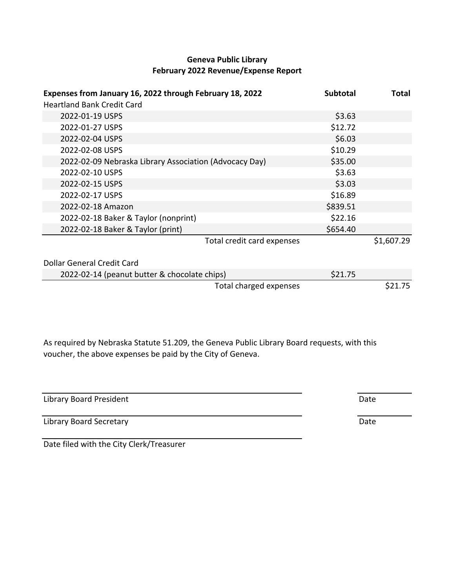## **Geneva Public Library February 2022 Revenue/Expense Report**

| Expenses from January 16, 2022 through February 18, 2022 | <b>Subtotal</b> | <b>Total</b> |
|----------------------------------------------------------|-----------------|--------------|
| <b>Heartland Bank Credit Card</b>                        |                 |              |
| 2022-01-19 USPS                                          | \$3.63          |              |
| 2022-01-27 USPS                                          | \$12.72         |              |
| 2022-02-04 USPS                                          | \$6.03          |              |
| 2022-02-08 USPS                                          | \$10.29         |              |
| 2022-02-09 Nebraska Library Association (Advocacy Day)   | \$35.00         |              |
| 2022-02-10 USPS                                          | \$3.63          |              |
| 2022-02-15 USPS                                          | \$3.03          |              |
| 2022-02-17 USPS                                          | \$16.89         |              |
| 2022-02-18 Amazon                                        | \$839.51        |              |
| 2022-02-18 Baker & Taylor (nonprint)                     | \$22.16         |              |
| 2022-02-18 Baker & Taylor (print)                        | \$654.40        |              |
| Total credit card expenses                               |                 | \$1,607.29   |
| Dollar General Credit Card                               |                 |              |
| 2022-02-14 (peanut butter & chocolate chips)             | \$21.75         |              |
| Total charged expenses                                   |                 | \$21.75      |

As required by Nebraska Statute 51.209, the Geneva Public Library Board requests, with this voucher, the above expenses be paid by the City of Geneva.

| Library Board President | Date |
|-------------------------|------|
| Library Board Secretary | Date |

Date filed with the City Clerk/Treasurer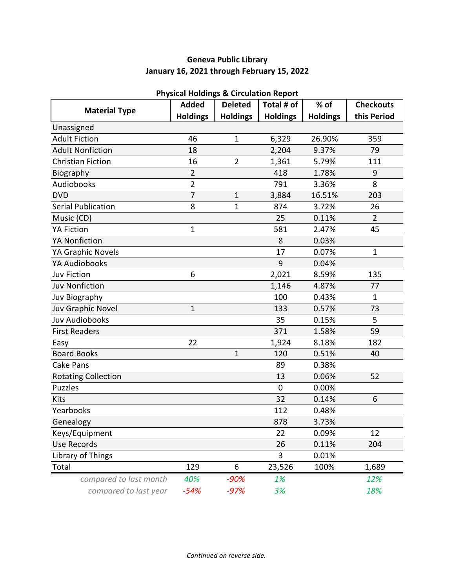# **Geneva Public Library January 16, 2021 through February 15, 2022**

|                            | <b>Added</b>    | Priysical Holdings & Circulation Report<br><b>Deleted</b> | Total # of      | $%$ of          | <b>Checkouts</b> |
|----------------------------|-----------------|-----------------------------------------------------------|-----------------|-----------------|------------------|
| <b>Material Type</b>       | <b>Holdings</b> | <b>Holdings</b>                                           | <b>Holdings</b> | <b>Holdings</b> | this Period      |
| Unassigned                 |                 |                                                           |                 |                 |                  |
| <b>Adult Fiction</b>       | 46              | $\mathbf{1}$                                              | 6,329           | 26.90%          | 359              |
| <b>Adult Nonfiction</b>    | 18              |                                                           | 2,204           | 9.37%           | 79               |
| <b>Christian Fiction</b>   | 16              | $\overline{2}$                                            | 1,361           | 5.79%           | 111              |
| Biography                  | $\overline{2}$  |                                                           | 418             | 1.78%           | $9\,$            |
| Audiobooks                 | $\overline{2}$  |                                                           | 791             | 3.36%           | 8                |
| <b>DVD</b>                 | $\overline{7}$  | $\mathbf{1}$                                              | 3,884           | 16.51%          | 203              |
| <b>Serial Publication</b>  | 8               | 1                                                         | 874             | 3.72%           | 26               |
| Music (CD)                 |                 |                                                           | 25              | 0.11%           | $\overline{2}$   |
| <b>YA Fiction</b>          | $\mathbf{1}$    |                                                           | 581             | 2.47%           | 45               |
| <b>YA Nonfiction</b>       |                 |                                                           | 8               | 0.03%           |                  |
| YA Graphic Novels          |                 |                                                           | 17              | 0.07%           | $\mathbf{1}$     |
| YA Audiobooks              |                 |                                                           | 9               | 0.04%           |                  |
| <b>Juv Fiction</b>         | 6               |                                                           | 2,021           | 8.59%           | 135              |
| <b>Juv Nonfiction</b>      |                 |                                                           | 1,146           | 4.87%           | 77               |
| Juv Biography              |                 |                                                           | 100             | 0.43%           | $\mathbf{1}$     |
| Juv Graphic Novel          | 1               |                                                           | 133             | 0.57%           | 73               |
| <b>Juv Audiobooks</b>      |                 |                                                           | 35              | 0.15%           | 5                |
| <b>First Readers</b>       |                 |                                                           | 371             | 1.58%           | 59               |
| Easy                       | 22              |                                                           | 1,924           | 8.18%           | 182              |
| <b>Board Books</b>         |                 | $\mathbf{1}$                                              | 120             | 0.51%           | 40               |
| <b>Cake Pans</b>           |                 |                                                           | 89              | 0.38%           |                  |
| <b>Rotating Collection</b> |                 |                                                           | 13              | 0.06%           | 52               |
| <b>Puzzles</b>             |                 |                                                           | $\mathbf 0$     | 0.00%           |                  |
| Kits                       |                 |                                                           | 32              | 0.14%           | 6                |
| Yearbooks                  |                 |                                                           | 112             | 0.48%           |                  |
| Genealogy                  |                 |                                                           | 878             | 3.73%           |                  |
| Keys/Equipment             |                 |                                                           | 22              | 0.09%           | 12               |
| <b>Use Records</b>         |                 |                                                           | 26              | 0.11%           | 204              |
| Library of Things          |                 |                                                           | 3               | 0.01%           |                  |
| Total                      | 129             | 6                                                         | 23,526          | 100%            | 1,689            |
| compared to last month     | 40%             | $-90%$                                                    | 1%              |                 | 12%              |
| compared to last year      | $-54%$          | $-97%$                                                    | 3%              |                 | 18%              |

## **Physical Holdings & Circulation Report**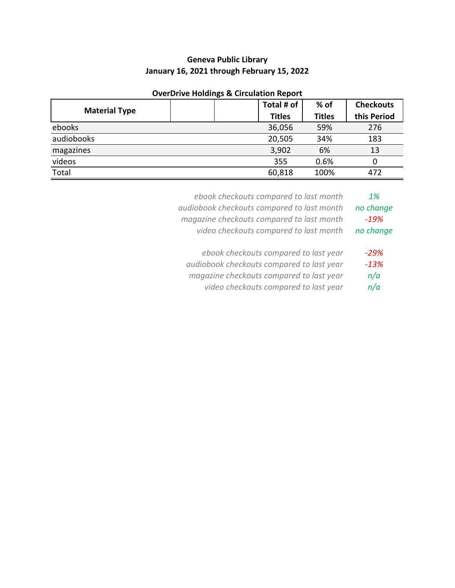# **Geneva Public Library January 16, 2021 through February 15, 2022**

## **OverDrive Holdings & Circulation Report**

|                      |  | Total # of    | $%$ of        | <b>Checkouts</b> |
|----------------------|--|---------------|---------------|------------------|
| <b>Material Type</b> |  | <b>Titles</b> | <b>Titles</b> | this Period      |
| ebooks               |  | 36,056        | 59%           | 276              |
| audiobooks           |  | 20,505        | 34%           | 183              |
| magazines            |  | 3,902         | 6%            | 13               |
| videos               |  | 355           | 0.6%          | 0                |
| Total                |  | 60,818        | 100%          | 472              |

| ebook checkouts compared to last month     | 1%        |
|--------------------------------------------|-----------|
| audiobook checkouts compared to last month | no change |
| magazine checkouts compared to last month  | $-19%$    |
| video checkouts compared to last month     | no change |
| ebook checkouts compared to last year      | $-29%$    |
| audiobook checkouts compared to last year  | $-13%$    |

*magazine checkouts compared to last year n/a*

*video checkouts compared to last year n/a*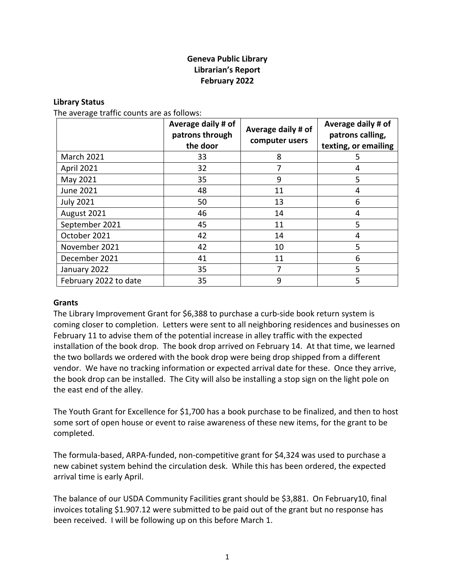## **Geneva Public Library Librarian's Report February 2022**

#### **Library Status**

The average traffic counts are as follows:

|                       | Average daily # of<br>patrons through<br>the door | Average daily # of<br>computer users | Average daily # of<br>patrons calling,<br>texting, or emailing |
|-----------------------|---------------------------------------------------|--------------------------------------|----------------------------------------------------------------|
| <b>March 2021</b>     | 33                                                | 8                                    | 5                                                              |
| April 2021            | 32                                                | 7                                    | 4                                                              |
| May 2021              | 35                                                | 9                                    | 5                                                              |
| June 2021             | 48                                                | 11                                   | 4                                                              |
| <b>July 2021</b>      | 50                                                | 13                                   | 6                                                              |
| August 2021           | 46                                                | 14                                   | 4                                                              |
| September 2021        | 45                                                | 11                                   | 5                                                              |
| October 2021          | 42                                                | 14                                   | 4                                                              |
| November 2021         | 42                                                | 10                                   | 5                                                              |
| December 2021         | 41                                                | 11                                   | 6                                                              |
| January 2022          | 35                                                | 7                                    | 5                                                              |
| February 2022 to date | 35                                                | 9                                    | 5                                                              |

#### **Grants**

The Library Improvement Grant for \$6,388 to purchase a curb-side book return system is coming closer to completion. Letters were sent to all neighboring residences and businesses on February 11 to advise them of the potential increase in alley traffic with the expected installation of the book drop. The book drop arrived on February 14. At that time, we learned the two bollards we ordered with the book drop were being drop shipped from a different vendor. We have no tracking information or expected arrival date for these. Once they arrive, the book drop can be installed. The City will also be installing a stop sign on the light pole on the east end of the alley.

The Youth Grant for Excellence for \$1,700 has a book purchase to be finalized, and then to host some sort of open house or event to raise awareness of these new items, for the grant to be completed.

The formula-based, ARPA-funded, non-competitive grant for \$4,324 was used to purchase a new cabinet system behind the circulation desk. While this has been ordered, the expected arrival time is early April.

The balance of our USDA Community Facilities grant should be \$3,881. On February10, final invoices totaling \$1.907.12 were submitted to be paid out of the grant but no response has been received. I will be following up on this before March 1.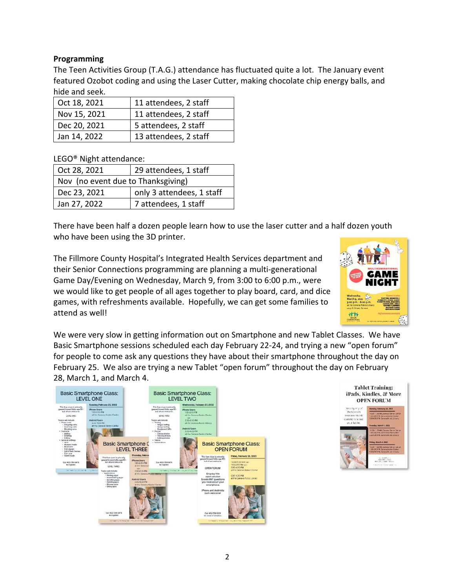## **Programming**

The Teen Activities Group (T.A.G.) attendance has fluctuated quite a lot. The January event featured Ozobot coding and using the Laser Cutter, making chocolate chip energy balls, and hide and seek.

| Oct 18, 2021 | 11 attendees, 2 staff |
|--------------|-----------------------|
| Nov 15, 2021 | 11 attendees, 2 staff |
| Dec 20, 2021 | 5 attendees, 2 staff  |
| Jan 14, 2022 | 13 attendees, 2 staff |

LEGO® Night attendance:

| Oct 28, 2021                       | 29 attendees, 1 staff     |  |  |  |
|------------------------------------|---------------------------|--|--|--|
| Nov (no event due to Thanksgiving) |                           |  |  |  |
| Dec 23, 2021                       | only 3 attendees, 1 staff |  |  |  |
| Jan 27, 2022                       | 7 attendees, 1 staff      |  |  |  |

There have been half a dozen people learn how to use the laser cutter and a half dozen youth who have been using the 3D printer.

The Fillmore County Hospital's Integrated Health Services department and their Senior Connections programming are planning a multi-generational Game Day/Evening on Wednesday, March 9, from 3:00 to 6:00 p.m., were we would like to get people of all ages together to play board, card, and dice games, with refreshments available. Hopefully, we can get some families to attend as well!



We were very slow in getting information out on Smartphone and new Tablet Classes. We have Basic Smartphone sessions scheduled each day February 22-24, and trying a new "open forum" for people to come ask any questions they have about their smartphone throughout the day on February 25. We also are trying a new Tablet "open forum" throughout the day on February 28, March 1, and March 4.